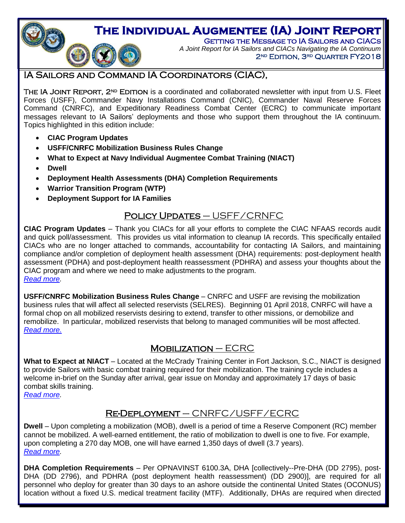# **The Individual Augmentee (IA) Joint Report**

GETTING THE MESSAGE TO IA SAILORS AND CIACS *A Joint Report for IA Sailors and CIACs Navigating the IA Continuum* 2<sup>ND</sup> EDITION, 3<sup>RD</sup> QUARTER FY2018

## <span id="page-0-0"></span>IA Sailors and Command IA Coordinators (CIAC),

THE IA JOINT REPORT, 2<sup>ND</sup> EDITION is a coordinated and collaborated newsletter with input from U.S. Fleet Forces (USFF), Commander Navy Installations Command (CNIC), Commander Naval Reserve Forces Command (CNRFC), and Expeditionary Readiness Combat Center (ECRC) to communicate important messages relevant to IA Sailors' deployments and those who support them throughout the IA continuum. Topics highlighted in this edition include:

**CIAC Program Updates**

**CONTRACTOR** 

- **USFF/CNRFC Mobilization Business Rules Change**
- **What to Expect at Navy Individual Augmentee Combat Training (NIACT)**
- **Dwell**
- **Deployment Health Assessments (DHA) Completion Requirements**
- **Warrior Transition Program (WTP)**
- **Deployment Support for IA Families**

### Policy Updates – USFF/CRNFC

**CIAC Program Updates** – Thank you CIACs for all your efforts to complete the CIAC NFAAS records audit and quick poll/assessment. This provides us vital information to cleanup IA records. This specifically entailed CIACs who are no longer attached to commands, accountability for contacting IA Sailors, and maintaining compliance and/or completion of deployment health assessment (DHA) requirements: post-deployment health assessment (PDHA) and post-deployment health reassessment (PDHRA) and assess your thoughts about the CIAC program and where we need to make adjustments to the program. *[Read more.](#page-2-0)*

**USFF/CNRFC Mobilization Business Rules Change** – CNRFC and USFF are revising the mobilization business rules that will affect all selected reservists (SELRES). Beginning 01 April 2018, CNRFC will have a formal chop on all mobilized reservists desiring to extend, transfer to other missions, or demobilize and remobilize. In particular, mobilized reservists that belong to managed communities will be most affected. *[Read more.](#page-2-1)*

## $M$ OBILIZATION – ECRC

**What to Expect at NIACT** – Located at the McCrady Training Center in Fort Jackson, S.C., NIACT is designed to provide Sailors with basic combat training required for their mobilization. The training cycle includes a welcome in-brief on the Sunday after arrival, gear issue on Monday and approximately 17 days of basic combat skills training.

*[Read more.](#page-2-2)*

## Re-Deployment – CNRFC/USFF/ECRC

**Dwell** – Upon completing a mobilization (MOB), dwell is a period of time a Reserve Component (RC) member cannot be mobilized. A well-earned entitlement, the ratio of mobilization to dwell is one to five. For example, upon completing a 270 day MOB, one will have earned 1,350 days of dwell (3.7 years). *[Read more.](#page-3-0)*

**DHA Completion Requirements** – Per OPNAVINST 6100.3A, DHA [collectively--Pre-DHA (DD 2795), post-DHA (DD 2796), and PDHRA (post deployment health reassessment) (DD 2900)], are required for all personnel who deploy for greater than 30 days to an ashore outside the continental United States (OCONUS) location without a fixed U.S. medical treatment facility (MTF). Additionally, DHAs are required when directed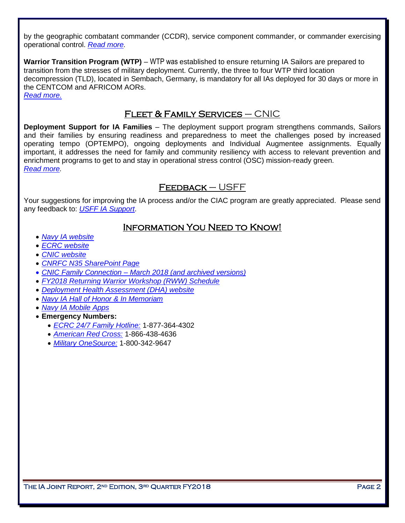by the geographic combatant commander (CCDR), service component commander, or commander exercising operational control. *[Read more.](#page-3-1)*

**Warrior Transition Program (WTP)** – WTP was established to ensure returning IA Sailors are prepared to transition from the stresses of military deployment. Currently, the three to four WTP third location decompression (TLD), located in Sembach, Germany, is mandatory for all IAs deployed for 30 days or more in the CENTCOM and AFRICOM AORs. *[Read more.](#page-4-0)*

### FLEET & FAMILY SERVICES  $-$  CNIC

**Deployment Support for IA Families** – The deployment support program strengthens commands, Sailors and their families by ensuring readiness and preparedness to meet the challenges posed by increased operating tempo (OPTEMPO), ongoing deployments and Individual Augmentee assignments. Equally important, it addresses the need for family and community resiliency with access to relevant prevention and enrichment programs to get to and stay in operational stress control (OSC) mission-ready green. *[Read more.](#page-4-1)*

#### $FEEDBACK - USFF$

Your suggestions for improving the IA process and/or the CIAC program are greatly appreciated. Please send any feedback to: *[USFF IA Support](mailto:usff.ia.fct@navy.mil)*.

#### Information You Need to Know!

- *[Navy IA website](http://www.ia.navy.mil/)*
- *[ECRC website](http://www.ecrc.navy.mil/)*
- *[CNIC website](http://www.cnic.navy.mil/)*
- *[CNRFC N35 SharePoint Page](https://private.navyreserve.navy.mil/cnrfc/N-Codes/N3)*
- *[CNIC Family Connection –](https://www.cnic.navy.mil/ffr/family_readiness/fleet_and_family_support_program.html) March 2018 (and archived versions)*
- *FY2018 [Returning Warrior Workshop \(RWW\) Schedule](http://www.public.navy.mil/ia/Pages/rww.aspx)*
- *[Deployment Health Assessment \(DHA\) website](http://www.dha.navy.mil/)*
- *[Navy IA Hall of Honor & In Memoriam](http://www.ia.navy.mil/)*
- *[Navy IA Mobile Apps](http://www.public.navy.mil/ia/Pages/mobile.aspx)*
- **Emergency Numbers:** 
	- *ECRC [24/7 Family Hotline:](mailto:ecrc.fs.fct@navy.mil)* 1-877-364-4302
	- *[American Red Cross:](http://www.redcross.org/)* 1-866-438-4636
	- *[Military OneSource:](http://www.militaryonesource.com/)* 1-800-342-9647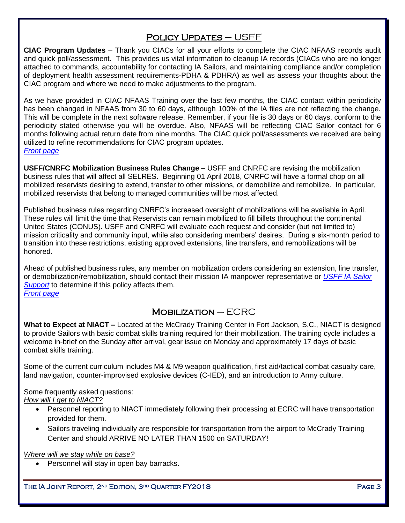## POLICY UPDATES - USFF

<span id="page-2-0"></span>**CIAC Program Updates** – Thank you CIACs for all your efforts to complete the CIAC NFAAS records audit and quick poll/assessment. This provides us vital information to cleanup IA records (CIACs who are no longer attached to commands, accountability for contacting IA Sailors, and maintaining compliance and/or completion of deployment health assessment requirements-PDHA & PDHRA) as well as assess your thoughts about the CIAC program and where we need to make adjustments to the program.

As we have provided in CIAC NFAAS Training over the last few months, the CIAC contact within periodicity has been changed in NFAAS from 30 to 60 days, although 100% of the IA files are not reflecting the change. This will be complete in the next software release. Remember, if your file is 30 days or 60 days, conform to the periodicity stated otherwise you will be overdue. Also, NFAAS will be reflecting CIAC Sailor contact for 6 months following actual return date from nine months. The CIAC quick poll/assessments we received are being utilized to refine recommendations for CIAC program updates. *[Front page](#page-0-0)*

<span id="page-2-1"></span>**USFF/CNRFC Mobilization Business Rules Change** – USFF and CNRFC are revising the mobilization business rules that will affect all SELRES. Beginning 01 April 2018, CNRFC will have a formal chop on all mobilized reservists desiring to extend, transfer to other missions, or demobilize and remobilize. In particular, mobilized reservists that belong to managed communities will be most affected.

Published business rules regarding CNRFC's increased oversight of mobilizations will be available in April. These rules will limit the time that Reservists can remain mobilized to fill billets throughout the continental United States (CONUS). USFF and CNRFC will evaluate each request and consider (but not limited to) mission criticality and community input, while also considering members' desires. During a six-month period to transition into these restrictions, existing approved extensions, line transfers, and remobilizations will be honored.

Ahead of published business rules, any member on mobilization orders considering an extension, line transfer, or demobilization/remobilization, should contact their mission IA manpower representative or *[USFF IA Sailor](mailto:usff.ia.fct@navy.mil)  [Support](mailto:usff.ia.fct@navy.mil)* to determine if this policy affects them. *[Front page](#page-0-0)*

## $M$ OBILIZATION – ECRC

<span id="page-2-2"></span>**What to Expect at NIACT –** Located at the McCrady Training Center in Fort Jackson, S.C., NIACT is designed to provide Sailors with basic combat skills training required for their mobilization. The training cycle includes a welcome in-brief on the Sunday after arrival, gear issue on Monday and approximately 17 days of basic combat skills training.

Some of the current curriculum includes M4 & M9 weapon qualification, first aid/tactical combat casualty care, land navigation, counter-improvised explosive devices (C-IED), and an introduction to Army culture.

Some frequently asked questions: *How will I get to NIACT?*

- Personnel reporting to NIACT immediately following their processing at ECRC will have transportation provided for them.
- Sailors traveling individually are responsible for transportation from the airport to McCrady Training Center and should ARRIVE NO LATER THAN 1500 on SATURDAY!

*Where will we stay while on base?*

Personnel will stay in open bay barracks.

THE IA JOINT REPORT, 2<sup>nd</sup> Edition, 3<sup>rd</sup> Quarter FY2018 Page 3 Page 3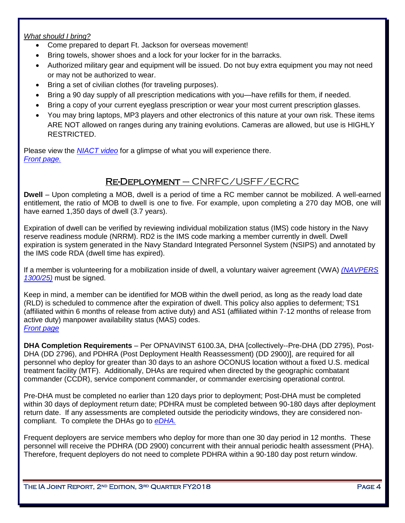#### *What should I bring?*

- Come prepared to depart Ft. Jackson for overseas movement!
- Bring towels, shower shoes and a lock for your locker for in the barracks.
- Authorized military gear and equipment will be issued. Do not buy extra equipment you may not need or may not be authorized to wear.
- Bring a set of civilian clothes (for traveling purposes).
- Bring a 90 day supply of all prescription medications with you—have refills for them, if needed.
- Bring a copy of your current eyeglass prescription or wear your most current prescription glasses.
- You may bring laptops, MP3 players and other electronics of this nature at your own risk. These items ARE NOT allowed on ranges during any training evolutions. Cameras are allowed, but use is HIGHLY RESTRICTED.

Please view the *[NIACT](https://www.youtube.com/watch?v=iJs7qaf0JD4) video* for a glimpse of what you will experience there. *[Front page.](#page-0-0)*

## Re-Deployment – CNRFC/USFF/ECRC

<span id="page-3-0"></span>**Dwell** – Upon completing a MOB, dwell is a period of time a RC member cannot be mobilized. A well-earned entitlement, the ratio of MOB to dwell is one to five. For example, upon completing a 270 day MOB, one will have earned 1,350 days of dwell (3.7 years).

Expiration of dwell can be verified by reviewing individual mobilization status (IMS) code history in the Navy reserve readiness module (NRRM). RD2 is the IMS code marking a member currently in dwell. Dwell expiration is system generated in the Navy Standard Integrated Personnel System (NSIPS) and annotated by the IMS code RDA (dwell time has expired).

If a member is volunteering for a mobilization inside of dwell, a voluntary waiver agreement (VWA) *[\(NAVPERS](http://www.public.navy.mil/IA/Documents/VWA-NAVPERS1300-25.pdf)  [1300/25\)](http://www.public.navy.mil/IA/Documents/VWA-NAVPERS1300-25.pdf)* must be signed.

Keep in mind, a member can be identified for MOB within the dwell period, as long as the ready load date (RLD) is scheduled to commence after the expiration of dwell. This policy also applies to deferment; TS1 (affiliated within 6 months of release from active duty) and AS1 (affiliated within 7-12 months of release from active duty) manpower availability status (MAS) codes. *[Front page](#page-0-0)*

<span id="page-3-1"></span>**DHA Completion Requirements** – Per OPNAVINST 6100.3A, DHA [collectively--Pre-DHA (DD 2795), Post-DHA (DD 2796), and PDHRA (Post Deployment Health Reassessment) (DD 2900)], are required for all personnel who deploy for greater than 30 days to an ashore OCONUS location without a fixed U.S. medical treatment facility (MTF). Additionally, DHAs are required when directed by the geographic combatant commander (CCDR), service component commander, or commander exercising operational control.

Pre-DHA must be completed no earlier than 120 days prior to deployment; Post-DHA must be completed within 30 days of deployment return date; PDHRA must be completed between 90-180 days after deployment return date. If any assessments are completed outside the periodicity windows, they are considered noncompliant. To complete the DHAs go to *[eDHA.](https://data.nmcphc.med.navy.mil/EDHA/)*

Frequent deployers are service members who deploy for more than one 30 day period in 12 months. These personnel will receive the PDHRA (DD 2900) concurrent with their annual periodic health assessment (PHA). Therefore, frequent deployers do not need to complete PDHRA within a 90-180 day post return window.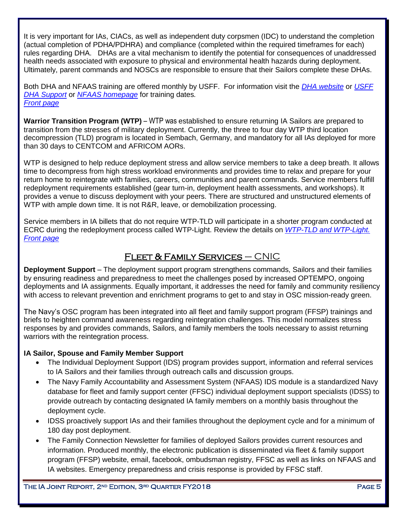It is very important for IAs, CIACs, as well as independent duty corpsmen (IDC) to understand the completion (actual completion of PDHA/PDHRA) and compliance (completed within the required timeframes for each) rules regarding DHA. DHAs are a vital mechanism to identify the potential for consequences of unaddressed health needs associated with exposure to physical and environmental health hazards during deployment. Ultimately, parent commands and NOSCs are responsible to ensure that their Sailors complete these DHAs.

Both DHA and NFAAS training are offered monthly by USFF. For information visit the *[DHA website](http://www.public.navy.mil/ia/dha/)* or *[USFF](mailto:usff.dha.fct@navy.mil)  [DHA Support](mailto:usff.dha.fct@navy.mil)* or *[NFAAS homepage](https://navyfamily.navy.mil/)* for training dates*. [Front page](#page-0-0)*

<span id="page-4-0"></span>**Warrior Transition Program (WTP)** – WTP was established to ensure returning IA Sailors are prepared to transition from the stresses of military deployment. Currently, the three to four day WTP third location decompression (TLD) program is located in Sembach, Germany, and mandatory for all IAs deployed for more than 30 days to CENTCOM and AFRICOM AORs.

WTP is designed to help reduce deployment stress and allow service members to take a deep breath. It allows time to decompress from high stress workload environments and provides time to relax and prepare for your return home to reintegrate with families, careers, communities and parent commands. Service members fulfill redeployment requirements established (gear turn-in, deployment health assessments, and workshops). It provides a venue to discuss deployment with your peers. There are structured and unstructured elements of WTP with ample down time. It is not R&R, leave, or demobilization processing.

Service members in IA billets that do not require WTP-TLD will participate in a shorter program conducted at ECRC during the redeployment process called WTP-Light. Review the details on *[WTP-TLD and WTP-Light.](http://www.public.navy.mil/IA/Pages/R3_RC_ISTOP.aspx) [Front page](#page-0-0)*

## Fleet & Family Services – CNIC

<span id="page-4-1"></span>**Deployment Support** – The deployment support program strengthens commands, Sailors and their families by ensuring readiness and preparedness to meet the challenges posed by increased OPTEMPO, ongoing deployments and IA assignments. Equally important, it addresses the need for family and community resiliency with access to relevant prevention and enrichment programs to get to and stay in OSC mission-ready green.

The Navy's OSC program has been integrated into all fleet and family support program (FFSP) trainings and briefs to heighten command awareness regarding reintegration challenges. This model normalizes stress responses by and provides commands, Sailors, and family members the tools necessary to assist returning warriors with the reintegration process.

#### **IA Sailor, Spouse and Family Member Support**

- The Individual Deployment Support (IDS) program provides support, information and referral services to IA Sailors and their families through outreach calls and discussion groups.
- The Navy Family Accountability and Assessment System (NFAAS) IDS module is a standardized Navy database for fleet and family support center (FFSC) individual deployment support specialists (IDSS) to provide outreach by contacting designated IA family members on a monthly basis throughout the deployment cycle.
- IDSS proactively support IAs and their families throughout the deployment cycle and for a minimum of 180 day post deployment.
- The Family Connection Newsletter for families of deployed Sailors provides current resources and information. Produced monthly, the electronic publication is disseminated via fleet & family support program (FFSP) website, email, facebook, ombudsman registry, FFSC as well as links on NFAAS and IA websites. Emergency preparedness and crisis response is provided by FFSC staff.

THE IA JOINT REPORT, 2<sup>nd</sup> Edition, 3<sup>rd</sup> Quarter FY2018 Page 5 and 2010 Page 5